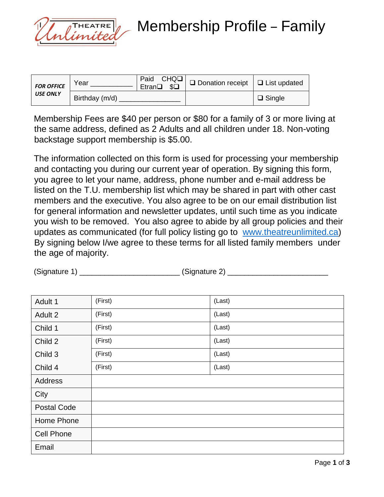

Membership Profile – Family

| <b>FOR OFFICE</b><br><b>USE ONLY</b> | Year           | Etran <sup>Q</sup> \$Q | and $CHQ\square$ Donation receipt $\Box$ List updated |               |
|--------------------------------------|----------------|------------------------|-------------------------------------------------------|---------------|
|                                      | Birthday (m/d) |                        |                                                       | $\Box$ Single |

Membership Fees are \$40 per person or \$80 for a family of 3 or more living at the same address, defined as 2 Adults and all children under 18. Non-voting backstage support membership is \$5.00.

The information collected on this form is used for processing your membership and contacting you during our current year of operation. By signing this form, you agree to let your name, address, phone number and e-mail address be listed on the T.U. membership list which may be shared in part with other cast members and the executive. You also agree to be on our email distribution list for general information and newsletter updates, until such time as you indicate you wish to be removed. You also agree to abide by all group policies and their updates as communicated (for full policy listing go to [www.theatreunlimited.ca\)](http://www.theatreunlimited.ca/) By signing below I/we agree to these terms for all listed family members under the age of majority.

| Adult 1            | (First) | (Last) |
|--------------------|---------|--------|
| Adult 2            | (First) | (Last) |
| Child 1            | (First) | (Last) |
| Child 2            | (First) | (Last) |
| Child 3            | (First) | (Last) |
| Child 4            | (First) | (Last) |
| Address            |         |        |
| City               |         |        |
| <b>Postal Code</b> |         |        |
| Home Phone         |         |        |
| <b>Cell Phone</b>  |         |        |
| Email              |         |        |

(Signature 1) \_\_\_\_\_\_\_\_\_\_\_\_\_\_\_\_\_\_\_\_\_\_\_\_ (Signature 2) \_\_\_\_\_\_\_\_\_\_\_\_\_\_\_\_\_\_\_\_\_\_\_\_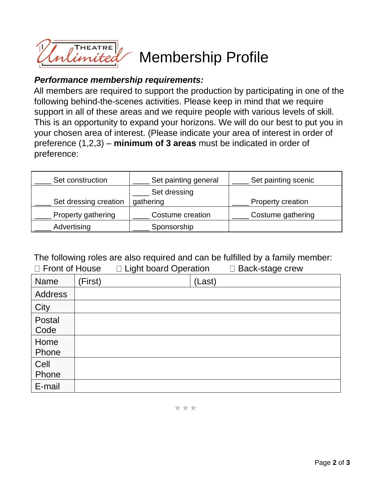

## Membership Profile

## *Performance membership requirements:*

All members are required to support the production by participating in one of the following behind-the-scenes activities. Please keep in mind that we require support in all of these areas and we require people with various levels of skill. This is an opportunity to expand your horizons. We will do our best to put you in your chosen area of interest. (Please indicate your area of interest in order of preference (1,2,3) – **minimum of 3 areas** must be indicated in order of preference:

| Set construction      | Set painting general | Set painting scenic      |
|-----------------------|----------------------|--------------------------|
|                       | Set dressing         |                          |
| Set dressing creation | gathering            | <b>Property creation</b> |
| Property gathering    | Costume creation     | Costume gathering        |
| Advertising           | Sponsorship          |                          |

The following roles are also required and can be fulfilled by a family member:

| □ Front of House |         | □ Light board Operation |        | $\square$ Back-stage crew |
|------------------|---------|-------------------------|--------|---------------------------|
| Name             | (First) |                         | (Last) |                           |
| <b>Address</b>   |         |                         |        |                           |
| City             |         |                         |        |                           |
| Postal           |         |                         |        |                           |
| Code             |         |                         |        |                           |
| Home             |         |                         |        |                           |
| Phone            |         |                         |        |                           |
| Cell             |         |                         |        |                           |
| Phone            |         |                         |        |                           |
| E-mail           |         |                         |        |                           |